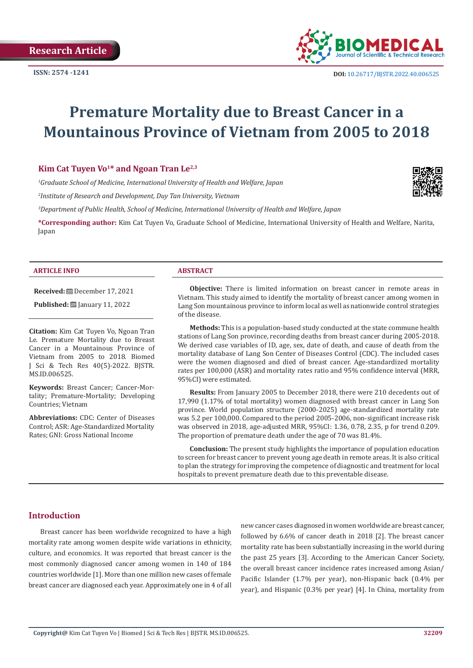

# **Premature Mortality due to Breast Cancer in a Mountainous Province of Vietnam from 2005 to 2018**

# Kim Cat Tuyen Vo<sup>1\*</sup> and Ngoan Tran Le<sup>2,3</sup>

*1 Graduate School of Medicine, International University of Health and Welfare, Japan*

*2 Institute of Research and Development, Duy Tan University, Vietnam*

*3 Department of Public Health, School of Medicine, International University of Health and Welfare, Japan*

**\*Corresponding author:** Kim Cat Tuyen Vo, Graduate School of Medicine, International University of Health and Welfare, Narita, Japan

#### **ARTICLE INFO ABSTRACT**

**Received:** December 17, 2021

**Published:** [2010] January 11, 2022

**Citation:** Kim Cat Tuyen Vo, Ngoan Tran Le. Premature Mortality due to Breast Cancer in a Mountainous Province of Vietnam from 2005 to 2018. Biomed J Sci & Tech Res 40(5)-2022. BJSTR. MS.ID.006525.

**Keywords:** Breast Cancer; Cancer-Mortality; Premature-Mortality; Developing Countries; Vietnam

**Abbreviations:** CDC: Center of Diseases Control; ASR: Age-Standardized Mortality Rates; GNI: Gross National Income

**Objective:** There is limited information on breast cancer in remote areas in Vietnam. This study aimed to identify the mortality of breast cancer among women in Lang Son mountainous province to inform local as well as nationwide control strategies of the disease.

**Methods:** This is a population-based study conducted at the state commune health stations of Lang Son province, recording deaths from breast cancer during 2005-2018. We derived case variables of ID, age, sex, date of death, and cause of death from the mortality database of Lang Son Center of Diseases Control (CDC). The included cases were the women diagnosed and died of breast cancer. Age-standardized mortality rates per 100,000 (ASR) and mortality rates ratio and 95% confidence interval (MRR, 95%CI) were estimated.

**Results:** From January 2005 to December 2018, there were 210 decedents out of 17,990 (1.17% of total mortality) women diagnosed with breast cancer in Lang Son province. World population structure (2000-2025) age-standardized mortality rate was 5.2 per 100,000. Compared to the period 2005-2006, non-significant increase risk was observed in 2018, age-adjusted MRR, 95%CI: 1.36, 0.78, 2.35, p for trend 0.209. The proportion of premature death under the age of 70 was 81.4%.

**Conclusion:** The present study highlights the importance of population education to screen for breast cancer to prevent young age death in remote areas. It is also critical to plan the strategy for improving the competence of diagnostic and treatment for local hospitals to prevent premature death due to this preventable disease.

# **Introduction**

Breast cancer has been worldwide recognized to have a high mortality rate among women despite wide variations in ethnicity, culture, and economics. It was reported that breast cancer is the most commonly diagnosed cancer among women in 140 of 184 countries worldwide [1]. More than one million new cases of female breast cancer are diagnosed each year. Approximately one in 4 of all

new cancer cases diagnosed in women worldwide are breast cancer, followed by 6.6% of cancer death in 2018 [2]. The breast cancer mortality rate has been substantially increasing in the world during the past 25 years [3]. According to the American Cancer Society, the overall breast cancer incidence rates increased among Asian/ Pacific Islander (1.7% per year), non-Hispanic back (0.4% per year), and Hispanic (0.3% per year) [4]. In China, mortality from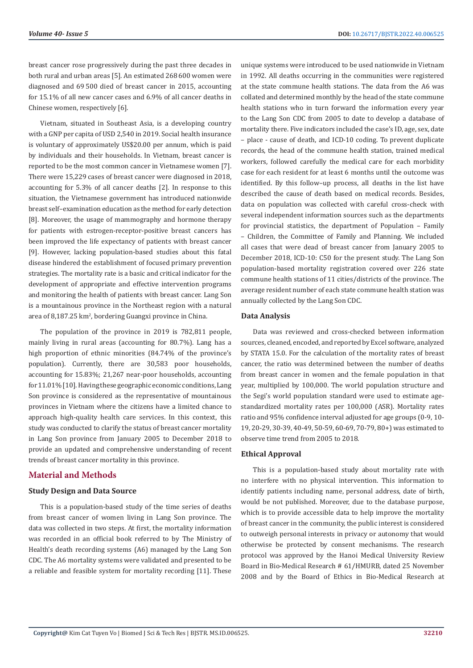breast cancer rose progressively during the past three decades in both rural and urban areas [5]. An estimated 268 600 women were diagnosed and 69 500 died of breast cancer in 2015, accounting for 15.1% of all new cancer cases and 6.9% of all cancer deaths in Chinese women, respectively [6].

Vietnam, situated in Southeast Asia, is a developing country with a GNP per capita of USD 2,540 in 2019. Social health insurance is voluntary of approximately US\$20.00 per annum, which is paid by individuals and their households. In Vietnam, breast cancer is reported to be the most common cancer in Vietnamese women [7]. There were 15,229 cases of breast cancer were diagnosed in 2018, accounting for 5.3% of all cancer deaths [2]. In response to this situation, the Vietnamese government has introduced nationwide breast self–examination education as the method for early detection [8]. Moreover, the usage of mammography and hormone therapy for patients with estrogen-receptor-positive breast cancers has been improved the life expectancy of patients with breast cancer [9]. However, lacking population-based studies about this fatal disease hindered the establishment of focused primary prevention strategies. The mortality rate is a basic and critical indicator for the development of appropriate and effective intervention programs and monitoring the health of patients with breast cancer. Lang Son is a mountainous province in the Northeast region with a natural area of 8,187.25 km<sup>2</sup>, bordering Guangxi province in China.

The population of the province in 2019 is 782,811 people, mainly living in rural areas (accounting for 80.7%). Lang has a high proportion of ethnic minorities (84.74% of the province's population). Currently, there are 30,583 poor households, accounting for 15.83%; 21,267 near-poor households, accounting for 11.01% [10]. Having these geographic economic conditions, Lang Son province is considered as the representative of mountainous provinces in Vietnam where the citizens have a limited chance to approach high-quality health care services. In this context, this study was conducted to clarify the status of breast cancer mortality in Lang Son province from January 2005 to December 2018 to provide an updated and comprehensive understanding of recent trends of breast cancer mortality in this province.

# **Material and Methods**

### **Study Design and Data Source**

This is a population-based study of the time series of deaths from breast cancer of women living in Lang Son province. The data was collected in two steps. At first, the mortality information was recorded in an official book referred to by The Ministry of Health's death recording systems (A6) managed by the Lang Son CDC. The A6 mortality systems were validated and presented to be a reliable and feasible system for mortality recording [11]. These

unique systems were introduced to be used nationwide in Vietnam in 1992. All deaths occurring in the communities were registered at the state commune health stations. The data from the A6 was collated and determined monthly by the head of the state commune health stations who in turn forward the information every year to the Lang Son CDC from 2005 to date to develop a database of mortality there. Five indicators included the case's ID, age, sex, date – place - cause of death, and ICD-10 coding. To prevent duplicate records, the head of the commune health station, trained medical workers, followed carefully the medical care for each morbidity case for each resident for at least 6 months until the outcome was identified. By this follow–up process, all deaths in the list have described the cause of death based on medical records. Besides, data on population was collected with careful cross-check with several independent information sources such as the departments for provincial statistics, the department of Population – Family – Children, the Committee of Family and Planning. We included all cases that were dead of breast cancer from January 2005 to December 2018, ICD-10: C50 for the present study. The Lang Son population-based mortality registration covered over 226 state commune health stations of 11 cities/districts of the province. The average resident number of each state commune health station was annually collected by the Lang Son CDC.

### **Data Analysis**

Data was reviewed and cross-checked between information sources, cleaned, encoded, and reported by Excel software, analyzed by STATA 15.0. For the calculation of the mortality rates of breast cancer, the ratio was determined between the number of deaths from breast cancer in women and the female population in that year, multiplied by 100,000. The world population structure and the Segi's world population standard were used to estimate agestandardized mortality rates per 100,000 (ASR). Mortality rates ratio and 95% confidence interval adjusted for age groups (0-9, 10- 19, 20-29, 30-39, 40-49, 50-59, 60-69, 70-79, 80+) was estimated to observe time trend from 2005 to 2018.

# **Ethical Approval**

This is a population-based study about mortality rate with no interfere with no physical intervention. This information to identify patients including name, personal address, date of birth, would be not published. Moreover, due to the database purpose, which is to provide accessible data to help improve the mortality of breast cancer in the community, the public interest is considered to outweigh personal interests in privacy or autonomy that would otherwise be protected by consent mechanisms. The research protocol was approved by the Hanoi Medical University Review Board in Bio-Medical Research # 61/HMURB, dated 25 November 2008 and by the Board of Ethics in Bio-Medical Research at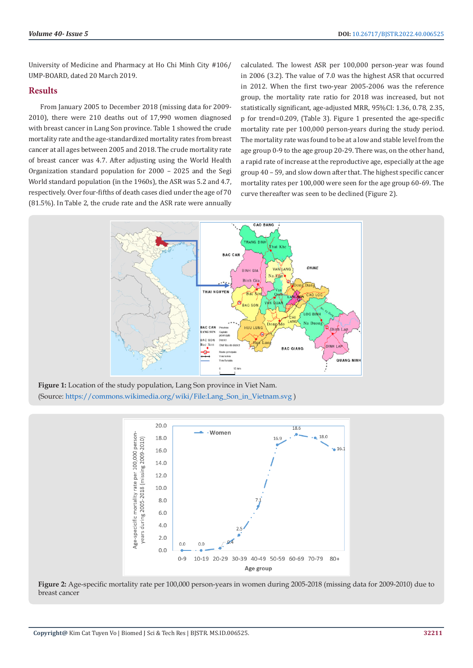University of Medicine and Pharmacy at Ho Chi Minh City #106/ UMP-BOARD, dated 20 March 2019.

# **Results**

From January 2005 to December 2018 (missing data for 2009- 2010), there were 210 deaths out of 17,990 women diagnosed with breast cancer in Lang Son province. Table 1 showed the crude mortality rate and the age-standardized mortality rates from breast cancer at all ages between 2005 and 2018. The crude mortality rate of breast cancer was 4.7. After adjusting using the World Health Organization standard population for 2000 – 2025 and the Segi World standard population (in the 1960s), the ASR was 5.2 and 4.7, respectively. Over four-fifths of death cases died under the age of 70 (81.5%). In Table 2, the crude rate and the ASR rate were annually

calculated. The lowest ASR per 100,000 person-year was found in 2006 (3.2). The value of 7.0 was the highest ASR that occurred in 2012. When the first two-year 2005-2006 was the reference group, the mortality rate ratio for 2018 was increased, but not statistically significant, age-adjusted MRR, 95%CI: 1.36, 0.78, 2.35, p for trend=0.209, (Table 3). Figure 1 presented the age-specific mortality rate per 100,000 person-years during the study period. The mortality rate was found to be at a low and stable level from the age group 0-9 to the age group 20-29. There was, on the other hand, a rapid rate of increase at the reproductive age, especially at the age group 40 – 59, and slow down after that. The highest specific cancer mortality rates per 100,000 were seen for the age group 60-69. The curve thereafter was seen to be declined (Figure 2).



**Figure 1:** Location of the study population, Lang Son province in Viet Nam. (Source: [https://commons.wikimedia.org/wiki/File:Lang\\_Son\\_in\\_Vietnam.svg](https://commons.wikimedia.org/wiki/File:Lang_Son_in_Vietnam.svg) )



**Figure 2:** Age-specific mortality rate per 100,000 person-years in women during 2005-2018 (missing data for 2009-2010) due to breast cancer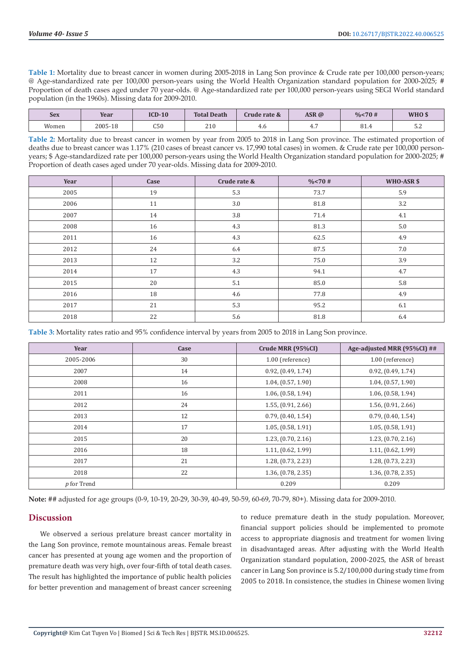**Table 1:** Mortality due to breast cancer in women during 2005-2018 in Lang Son province & Crude rate per 100,000 person-years; @ Age-standardized rate per 100,000 person-years using the World Health Organization standard population for 2000-2025; # Proportion of death cases aged under 70 year-olds. @ Age-standardized rate per 100,000 person-years using SEGI World standard population (in the 1960s). Missing data for 2009-2010.

| <b>Sex</b> | Year    | $ICD-10$                    | <b>Total Death</b> | Crude rate & | ASR@ | % < 70# | WHO \$         |
|------------|---------|-----------------------------|--------------------|--------------|------|---------|----------------|
| Women      | 2005-18 | $\sim$ $\sim$ $\sim$<br>ႱჂႱ | 210                | 4.O          | 1.7  | 81.4    | $ \sim$<br>ے ۔ |

**Table 2:** Mortality due to breast cancer in women by year from 2005 to 2018 in Lang Son province. The estimated proportion of deaths due to breast cancer was 1.17% (210 cases of breast cancer vs. 17,990 total cases) in women. & Crude rate per 100,000 personyears; \$ Age-standardized rate per 100,000 person-years using the World Health Organization standard population for 2000-2025; # Proportion of death cases aged under 70 year-olds. Missing data for 2009-2010.

| Year | Case | Crude rate & | $\frac{0}{6}$ < 70 # | WHO-ASR \$ |
|------|------|--------------|----------------------|------------|
| 2005 | 19   | 5.3          | 73.7                 | 5.9        |
| 2006 | 11   | 3.0          | 81.8                 | 3.2        |
| 2007 | 14   | 3.8          | 71.4                 | 4.1        |
| 2008 | 16   | 4.3          | 81.3                 | 5.0        |
| 2011 | 16   | 4.3          | 62.5                 | 4.9        |
| 2012 | 24   | 6.4          | 87.5                 | 7.0        |
| 2013 | 12   | 3.2          | 75.0                 | 3.9        |
| 2014 | 17   | 4.3          | 94.1                 | 4.7        |
| 2015 | 20   | 5.1          | 85.0                 | 5.8        |
| 2016 | 18   | 4.6          | 77.8                 | 4.9        |
| 2017 | 21   | 5.3          | 95.2                 | 6.1        |
| 2018 | 22   | 5.6          | 81.8                 | 6.4        |

**Table 3:** Mortality rates ratio and 95% confidence interval by years from 2005 to 2018 in Lang Son province.

| Year        | Case | Crude MRR (95%CI)  | Age-adjusted MRR (95%CI) ## |
|-------------|------|--------------------|-----------------------------|
| 2005-2006   | 30   | 1.00 (reference)   | 1.00 (reference)            |
| 2007        | 14   | 0.92, (0.49, 1.74) | 0.92, (0.49, 1.74)          |
| 2008        | 16   | 1.04, (0.57, 1.90) | 1.04, (0.57, 1.90)          |
| 2011        | 16   | 1.06, (0.58, 1.94) | 1.06, (0.58, 1.94)          |
| 2012        | 24   | 1.55, (0.91, 2.66) | 1.56, (0.91, 2.66)          |
| 2013        | 12   | 0.79, (0.40, 1.54) | 0.79, (0.40, 1.54)          |
| 2014        | 17   | 1.05, (0.58, 1.91) | 1.05, (0.58, 1.91)          |
| 2015        | 20   | 1.23, (0.70, 2.16) | 1.23, (0.70, 2.16)          |
| 2016        | 18   | 1.11, (0.62, 1.99) | 1.11, (0.62, 1.99)          |
| 2017        | 21   | 1.28, (0.73, 2.23) | 1.28, (0.73, 2.23)          |
| 2018        | 22   | 1.36, (0.78, 2.35) | 1.36, (0.78, 2.35)          |
| p for Trend |      | 0.209              | 0.209                       |

**Note:** ## adjusted for age groups (0-9, 10-19, 20-29, 30-39, 40-49, 50-59, 60-69, 70-79, 80+). Missing data for 2009-2010.

# **Discussion**

We observed a serious prelature breast cancer mortality in the Lang Son province, remote mountainous areas. Female breast cancer has presented at young age women and the proportion of premature death was very high, over four-fifth of total death cases. The result has highlighted the importance of public health policies for better prevention and management of breast cancer screening

to reduce premature death in the study population. Moreover, financial support policies should be implemented to promote access to appropriate diagnosis and treatment for women living in disadvantaged areas. After adjusting with the World Health Organization standard population, 2000-2025, the ASR of breast cancer in Lang Son province is 5.2/100,000 during study time from 2005 to 2018. In consistence, the studies in Chinese women living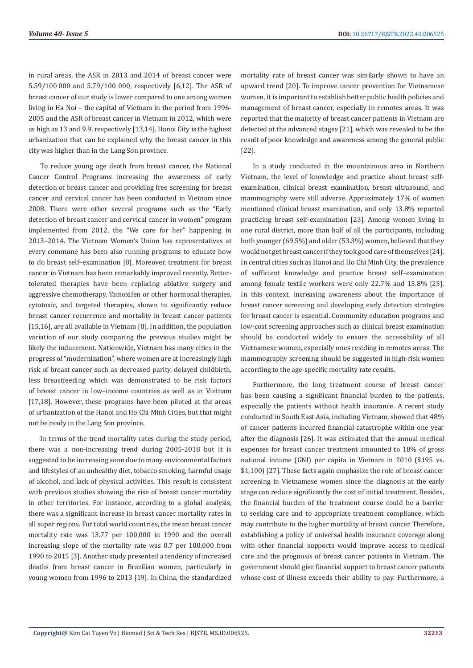in rural areas, the ASR in 2013 and 2014 of breast cancer were 5.59/100 000 and 5.79/100 000, respectively [6,12]. The ASR of breast cancer of our study is lower compared to one among women living in Ha Noi – the capital of Vietnam in the period from 1996- 2005 and the ASR of breast cancer in Vietnam in 2012, which were as high as 13 and 9.9, respectively [13,14]. Hanoi City is the highest urbanization that can be explained why the breast cancer in this city was higher than in the Lang Son province.

To reduce young age death from breast cancer, the National Cancer Control Programs increasing the awareness of early detection of breast cancer and providing free screening for breast cancer and cervical cancer has been conducted in Vietnam since 2008. There were other several programs such as the "Early detection of breast cancer and cervical cancer in women" program implemented from 2012, the "We care for her" happening in 2013–2014. The Vietnam Women's Union has representatives at every commune has been also running programs to educate how to do breast self–examination [8]. Moreover, treatment for breast cancer in Vietnam has been remarkably improved recently. Bettertolerated therapies have been replacing ablative surgery and aggressive chemotherapy. Tamoxifen or other hormonal therapies, cytotoxic, and targeted therapies, shown to significantly reduce breast cancer recurrence and mortality in breast cancer patients [15,16], are all available in Vietnam [8]. In addition, the population variation of our study comparing the previous studies might be likely the inducement. Nationwide, Vietnam has many cities in the progress of "modernization", where women are at increasingly high risk of breast cancer such as decreased parity, delayed childbirth, less breastfeeding which was demonstrated to be risk factors of breast cancer in low–income countries as well as in Vietnam [17,18]. However, these programs have been piloted at the areas of urbanization of the Hanoi and Ho Chi Minh Cities, but that might not be ready in the Lang Son province.

In terms of the trend mortality rates during the study period, there was a non-increasing trend during 2005-2018 but it is suggested to be increasing soon due to many environmental factors and lifestyles of an unhealthy diet, tobacco smoking, harmful usage of alcohol, and lack of physical activities. This result is consistent with previous studies showing the rise of breast cancer mortality in other territories. For instance, according to a global analysis, there was a significant increase in breast cancer mortality rates in all super regions. For total world countries, the mean breast cancer mortality rate was 13.77 per 100,000 in 1990 and the overall increasing slope of the mortality rate was 0.7 per 100,000 from 1990 to 2015 [3]. Another study presented a tendency of increased deaths from breast cancer in Brazilian women, particularly in young women from 1996 to 2013 [19]. In China, the standardized mortality rate of breast cancer was similarly shown to have an upward trend [20]. To improve cancer prevention for Vietnamese women, it is important to establish better public health policies and management of breast cancer, especially in remotes areas. It was reported that the majority of breast cancer patients in Vietnam are detected at the advanced stages [21], which was revealed to be the result of poor knowledge and awareness among the general public [22].

In a study conducted in the mountainous area in Northern Vietnam, the level of knowledge and practice about breast selfexamination, clinical breast examination, breast ultrasound, and mammography were still adverse. Approximately 17% of women mentioned clinical breast examination, and only 13.8% reported practicing breast self-examination [23]. Among women living in one rural district, more than half of all the participants, including both younger (69.5%) and older (53.3%) women, believed that they would not get breast cancer if they took good care of themselves [24]. In central cities such as Hanoi and Ho Chi Minh City, the prevalence of sufficient knowledge and practice breast self–examination among female textile workers were only 22.7% and 15.8% [25]. In this context, increasing awareness about the importance of breast cancer screening and developing early detection strategies for breast cancer is essential. Community education programs and low-cost screening approaches such as clinical breast examination should be conducted widely to ensure the accessibility of all Vietnamese women, especially ones residing in remotes areas. The mammography screening should be suggested in high-risk women according to the age-specific mortality rate results.

Furthermore, the long treatment course of breast cancer has been causing a significant financial burden to the patients, especially the patients without health insurance. A recent study conducted in South East Asia, including Vietnam, showed that 48% of cancer patients incurred financial catastrophe within one year after the diagnosis [26]. It was estimated that the annual medical expenses for breast cancer treatment amounted to 18% of gross national income (GNI) per capita in Vietnam in 2010 (\$195 vs. \$1,100) [27]. These facts again emphasize the role of breast cancer screening in Vietnamese women since the diagnosis at the early stage can reduce significantly the cost of initial treatment. Besides, the financial burden of the treatment course could be a barrier to seeking care and to appropriate treatment compliance, which may contribute to the higher mortality of breast cancer. Therefore, establishing a policy of universal health insurance coverage along with other financial supports would improve access to medical care and the prognosis of breast cancer patients in Vietnam. The government should give financial support to breast cancer patients whose cost of illness exceeds their ability to pay. Furthermore, a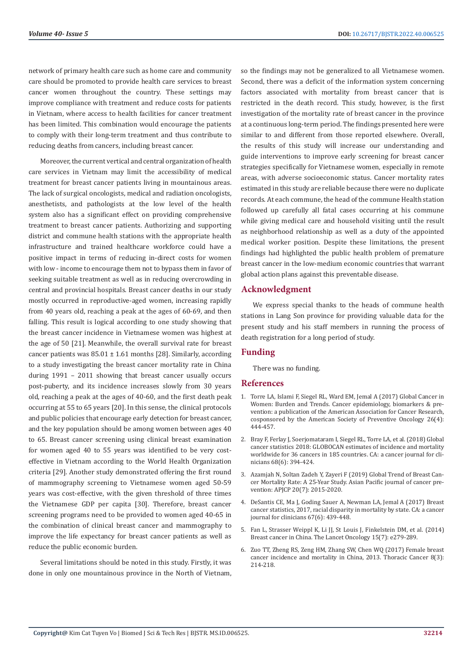network of primary health care such as home care and community care should be promoted to provide health care services to breast cancer women throughout the country. These settings may improve compliance with treatment and reduce costs for patients in Vietnam, where access to health facilities for cancer treatment has been limited. This combination would encourage the patients to comply with their long-term treatment and thus contribute to reducing deaths from cancers, including breast cancer.

Moreover, the current vertical and central organization of health care services in Vietnam may limit the accessibility of medical treatment for breast cancer patients living in mountainous areas. The lack of surgical oncologists, medical and radiation oncologists, anesthetists, and pathologists at the low level of the health system also has a significant effect on providing comprehensive treatment to breast cancer patients. Authorizing and supporting district and commune health stations with the appropriate health infrastructure and trained healthcare workforce could have a positive impact in terms of reducing in-direct costs for women with low - income to encourage them not to bypass them in favor of seeking suitable treatment as well as in reducing overcrowding in central and provincial hospitals. Breast cancer deaths in our study mostly occurred in reproductive-aged women, increasing rapidly from 40 years old, reaching a peak at the ages of 60-69, and then falling. This result is logical according to one study showing that the breast cancer incidence in Vietnamese women was highest at the age of 50 [21]. Meanwhile, the overall survival rate for breast cancer patients was  $85.01 \pm 1.61$  months [28]. Similarly, according to a study investigating the breast cancer mortality rate in China during 1991 – 2011 showing that breast cancer usually occurs post-puberty, and its incidence increases slowly from 30 years old, reaching a peak at the ages of 40-60, and the first death peak occurring at 55 to 65 years [20]. In this sense, the clinical protocols and public policies that encourage early detection for breast cancer, and the key population should be among women between ages 40 to 65. Breast cancer screening using clinical breast examination for women aged 40 to 55 years was identified to be very costeffective in Vietnam according to the World Health Organization criteria [29]. Another study demonstrated offering the first round of mammography screening to Vietnamese women aged 50-59 years was cost-effective, with the given threshold of three times the Vietnamese GDP per capita [30]. Therefore, breast cancer screening programs need to be provided to women aged 40-65 in the combination of clinical breast cancer and mammography to improve the life expectancy for breast cancer patients as well as reduce the public economic burden.

Several limitations should be noted in this study. Firstly, it was done in only one mountainous province in the North of Vietnam, so the findings may not be generalized to all Vietnamese women. Second, there was a deficit of the information system concerning factors associated with mortality from breast cancer that is restricted in the death record. This study, however, is the first investigation of the mortality rate of breast cancer in the province at a continuous long-term period. The findings presented here were similar to and different from those reported elsewhere. Overall, the results of this study will increase our understanding and guide interventions to improve early screening for breast cancer strategies specifically for Vietnamese women, especially in remote areas, with adverse socioeconomic status. Cancer mortality rates estimated in this study are reliable because there were no duplicate records. At each commune, the head of the commune Health station followed up carefully all fatal cases occurring at his commune while giving medical care and household visiting until the result as neighborhood relationship as well as a duty of the appointed medical worker position. Despite these limitations, the present findings had highlighted the public health problem of premature breast cancer in the low-medium economic countries that warrant global action plans against this preventable disease.

# **Acknowledgment**

We express special thanks to the heads of commune health stations in Lang Son province for providing valuable data for the present study and his staff members in running the process of death registration for a long period of study.

# **Funding**

There was no funding.

# **References**

- 1. [Torre LA, Islami F, Siegel RL, Ward EM, Jemal A \(2017\) Global Cancer in](https://pubmed.ncbi.nlm.nih.gov/28223433/) [Women: Burden and Trends. Cancer epidemiology, biomarkers & pre](https://pubmed.ncbi.nlm.nih.gov/28223433/)[vention: a publication of the American Association for Cancer Research,](https://pubmed.ncbi.nlm.nih.gov/28223433/) [cosponsored by the American Society of Preventive Oncology 26\(4\):](https://pubmed.ncbi.nlm.nih.gov/28223433/) [444-457.](https://pubmed.ncbi.nlm.nih.gov/28223433/)
- 2. [Bray F, Ferlay J, Soerjomataram I, Siegel RL, Torre LA, et al. \(2018\) Global](https://pubmed.ncbi.nlm.nih.gov/30207593/) [cancer statistics 2018: GLOBOCAN estimates of incidence and mortality](https://pubmed.ncbi.nlm.nih.gov/30207593/) [worldwide for 36 cancers in 185 countries. CA: a cancer journal for cli](https://pubmed.ncbi.nlm.nih.gov/30207593/)[nicians 68\(6\): 394-424.](https://pubmed.ncbi.nlm.nih.gov/30207593/)
- 3. [Azamjah N, Soltan Zadeh Y, Zayeri F \(2019\) Global Trend of Breast Can](https://www.ncbi.nlm.nih.gov/pmc/articles/PMC6745227/)[cer Mortality Rate: A 25-Year Study. Asian Pacific journal of cancer pre](https://www.ncbi.nlm.nih.gov/pmc/articles/PMC6745227/)[vention: APJCP 20\(7\): 2015-2020.](https://www.ncbi.nlm.nih.gov/pmc/articles/PMC6745227/)
- 4. [DeSantis CE, Ma J, Goding Sauer A, Newman LA, Jemal A \(2017\) Breast](https://pubmed.ncbi.nlm.nih.gov/28972651/) [cancer statistics, 2017, racial disparity in mortality by state. CA: a cancer](https://pubmed.ncbi.nlm.nih.gov/28972651/) [journal for clinicians 67\(6\): 439-448.](https://pubmed.ncbi.nlm.nih.gov/28972651/)
- 5. [Fan L, Strasser Weippl K, Li JJ, St Louis J, Finkelstein DM, et al. \(2014\)](https://pubmed.ncbi.nlm.nih.gov/24872111/) [Breast cancer in China. The Lancet Oncology 15\(7\): e279-289.](https://pubmed.ncbi.nlm.nih.gov/24872111/)
- 6. [Zuo TT, Zheng RS, Zeng HM, Zhang SW, Chen WQ \(2017\) Female breast](https://www.ncbi.nlm.nih.gov/pmc/articles/PMC5415464/) [cancer incidence and mortality in China, 2013. Thoracic Cancer 8\(3\):](https://www.ncbi.nlm.nih.gov/pmc/articles/PMC5415464/) [214-218.](https://www.ncbi.nlm.nih.gov/pmc/articles/PMC5415464/)